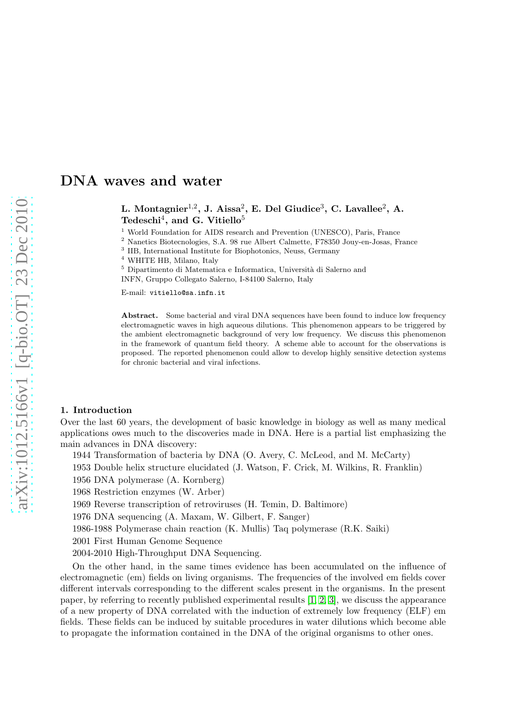# DNA waves and water

L. Montagnier<sup>1,2</sup>, J. Aissa<sup>2</sup>, E. Del Giudice<sup>3</sup>, C. Lavallee<sup>2</sup>, A. Tedeschi<sup>4</sup>, and G. Vitiello<sup>5</sup>

<sup>1</sup> World Foundation for AIDS research and Prevention (UNESCO), Paris, France

<sup>2</sup> Nanetics Biotecnologies, S.A. 98 rue Albert Calmette, F78350 Jouy-en-Josas, France

3 IIB, International Institute for Biophotonics, Neuss, Germany

<sup>4</sup> WHITE HB, Milano, Italy

 $5$  Dipartimento di Matematica e Informatica, Università di Salerno and INFN, Gruppo Collegato Salerno, I-84100 Salerno, Italy

E-mail: vitiello@sa.infn.it

Abstract. Some bacterial and viral DNA sequences have been found to induce low frequency electromagnetic waves in high aqueous dilutions. This phenomenon appears to be triggered by the ambient electromagnetic background of very low frequency. We discuss this phenomenon in the framework of quantum field theory. A scheme able to account for the observations is proposed. The reported phenomenon could allow to develop highly sensitive detection systems for chronic bacterial and viral infections.

#### 1. Introduction

Over the last 60 years, the development of basic knowledge in biology as well as many medical applications owes much to the discoveries made in DNA. Here is a partial list emphasizing the main advances in DNA discovery:

1944 Transformation of bacteria by DNA (O. Avery, C. McLeod, and M. McCarty)

1953 Double helix structure elucidated (J. Watson, F. Crick, M. Wilkins, R. Franklin)

1956 DNA polymerase (A. Kornberg)

1968 Restriction enzymes (W. Arber)

1969 Reverse transcription of retroviruses (H. Temin, D. Baltimore)

1976 DNA sequencing (A. Maxam, W. Gilbert, F. Sanger)

1986-1988 Polymerase chain reaction (K. Mullis) Taq polymerase (R.K. Saiki)

2001 First Human Genome Sequence

2004-2010 High-Throughput DNA Sequencing.

On the other hand, in the same times evidence has been accumulated on the influence of electromagnetic (em) fields on living organisms. The frequencies of the involved em fields cover different intervals corresponding to the different scales present in the organisms. In the present paper, by referring to recently published experimental results [\[1,](#page-9-0) [2,](#page-9-1) [3\]](#page-9-2), we discuss the appearance of a new property of DNA correlated with the induction of extremely low frequency (ELF) em fields. These fields can be induced by suitable procedures in water dilutions which become able to propagate the information contained in the DNA of the original organisms to other ones.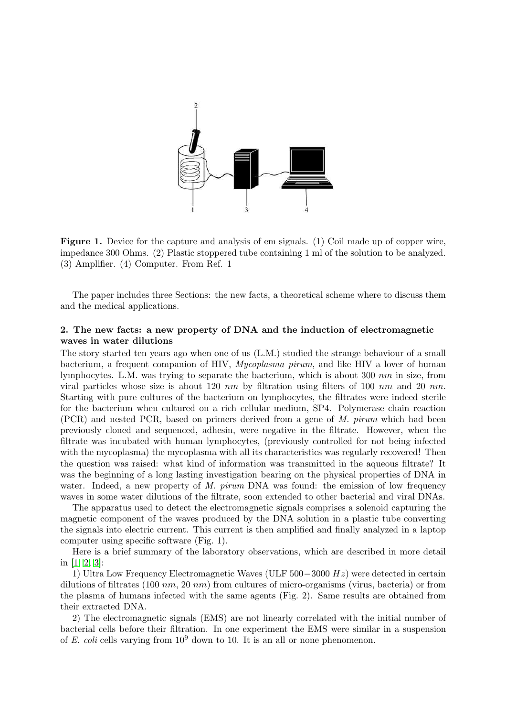

Figure 1. Device for the capture and analysis of em signals. (1) Coil made up of copper wire, impedance 300 Ohms. (2) Plastic stoppered tube containing 1 ml of the solution to be analyzed. (3) Amplifier. (4) Computer. From Ref. 1

The paper includes three Sections: the new facts, a theoretical scheme where to discuss them and the medical applications.

## 2. The new facts: a new property of DNA and the induction of electromagnetic waves in water dilutions

The story started ten years ago when one of us (L.M.) studied the strange behaviour of a small bacterium, a frequent companion of HIV, Mycoplasma pirum, and like HIV a lover of human lymphocytes. L.M. was trying to separate the bacterium, which is about 300 nm in size, from viral particles whose size is about 120  $nm$  by filtration using filters of 100  $nm$  and 20  $nm$ . Starting with pure cultures of the bacterium on lymphocytes, the filtrates were indeed sterile for the bacterium when cultured on a rich cellular medium, SP4. Polymerase chain reaction (PCR) and nested PCR, based on primers derived from a gene of M. pirum which had been previously cloned and sequenced, adhesin, were negative in the filtrate. However, when the filtrate was incubated with human lymphocytes, (previously controlled for not being infected with the mycoplasma) the mycoplasma with all its characteristics was regularly recovered! Then the question was raised: what kind of information was transmitted in the aqueous filtrate? It was the beginning of a long lasting investigation bearing on the physical properties of DNA in water. Indeed, a new property of M. pirum DNA was found: the emission of low frequency waves in some water dilutions of the filtrate, soon extended to other bacterial and viral DNAs.

The apparatus used to detect the electromagnetic signals comprises a solenoid capturing the magnetic component of the waves produced by the DNA solution in a plastic tube converting the signals into electric current. This current is then amplified and finally analyzed in a laptop computer using specific software (Fig. 1).

Here is a brief summary of the laboratory observations, which are described in more detail in [\[1,](#page-9-0) [2,](#page-9-1) [3\]](#page-9-2):

1) Ultra Low Frequency Electromagnetic Waves (ULF 500−3000 Hz) were detected in certain dilutions of filtrates (100  $nm$ , 20  $nm$ ) from cultures of micro-organisms (virus, bacteria) or from the plasma of humans infected with the same agents (Fig. 2). Same results are obtained from their extracted DNA.

2) The electromagnetic signals (EMS) are not linearly correlated with the initial number of bacterial cells before their filtration. In one experiment the EMS were similar in a suspension of E. coli cells varying from  $10^9$  down to 10. It is an all or none phenomenon.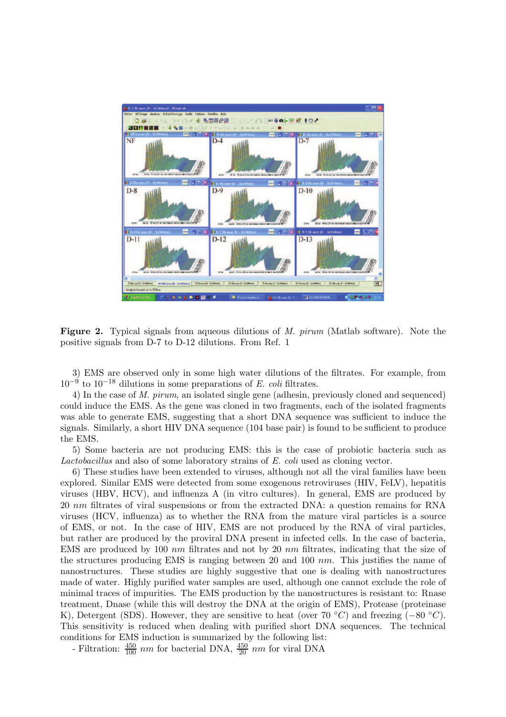

Figure 2. Typical signals from aqueous dilutions of M. pirum (Matlab software). Note the positive signals from D-7 to D-12 dilutions. From Ref. 1

3) EMS are observed only in some high water dilutions of the filtrates. For example, from  $10^{-9}$  to  $10^{-18}$  dilutions in some preparations of E. coli filtrates.

4) In the case of M. pirum, an isolated single gene (adhesin, previously cloned and sequenced) could induce the EMS. As the gene was cloned in two fragments, each of the isolated fragments was able to generate EMS, suggesting that a short DNA sequence was sufficient to induce the signals. Similarly, a short HIV DNA sequence (104 base pair) is found to be sufficient to produce the EMS.

5) Some bacteria are not producing EMS: this is the case of probiotic bacteria such as Lactobacillus and also of some laboratory strains of E. coli used as cloning vector.

6) These studies have been extended to viruses, although not all the viral families have been explored. Similar EMS were detected from some exogenous retroviruses (HIV, FeLV), hepatitis viruses (HBV, HCV), and influenza A (in vitro cultures). In general, EMS are produced by 20 nm filtrates of viral suspensions or from the extracted DNA: a question remains for RNA viruses (HCV, influenza) as to whether the RNA from the mature viral particles is a source of EMS, or not. In the case of HIV, EMS are not produced by the RNA of viral particles, but rather are produced by the proviral DNA present in infected cells. In the case of bacteria, EMS are produced by 100 nm filtrates and not by 20 nm filtrates, indicating that the size of the structures producing EMS is ranging between 20 and 100 nm. This justifies the name of nanostructures. These studies are highly suggestive that one is dealing with nanostructures made of water. Highly purified water samples are used, although one cannot exclude the role of minimal traces of impurities. The EMS production by the nanostructures is resistant to: Rnase treatment, Dnase (while this will destroy the DNA at the origin of EMS), Protease (proteinase K), Detergent (SDS). However, they are sensitive to heat (over  $70 °C$ ) and freezing  $(-80 °C)$ . This sensitivity is reduced when dealing with purified short DNA sequences. The technical conditions for EMS induction is summarized by the following list:

- Filtration:  $\frac{450}{100}$  nm for bacterial DNA,  $\frac{450}{20}$  nm for viral DNA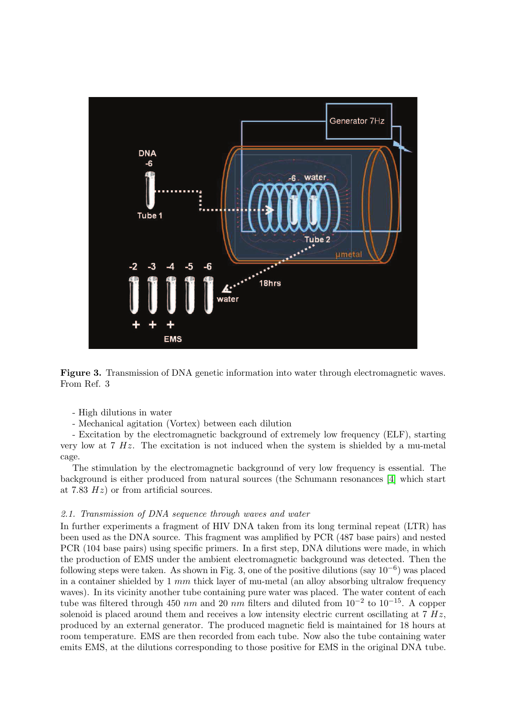

Figure 3. Transmission of DNA genetic information into water through electromagnetic waves. From Ref. 3

- High dilutions in water
- Mechanical agitation (Vortex) between each dilution

- Excitation by the electromagnetic background of extremely low frequency (ELF), starting very low at 7 Hz. The excitation is not induced when the system is shielded by a mu-metal cage.

The stimulation by the electromagnetic background of very low frequency is essential. The background is either produced from natural sources (the Schumann resonances [\[4\]](#page-9-3) which start at 7.83  $Hz$ ) or from artificial sources.

### 2.1. Transmission of DNA sequence through waves and water

In further experiments a fragment of HIV DNA taken from its long terminal repeat (LTR) has been used as the DNA source. This fragment was amplified by PCR (487 base pairs) and nested PCR (104 base pairs) using specific primers. In a first step, DNA dilutions were made, in which the production of EMS under the ambient electromagnetic background was detected. Then the following steps were taken. As shown in Fig. 3, one of the positive dilutions (say  $10^{-6}$ ) was placed in a container shielded by  $1 \, mm$  thick layer of mu-metal (an alloy absorbing ultralow frequency waves). In its vicinity another tube containing pure water was placed. The water content of each tube was filtered through 450 nm and 20 nm filters and diluted from  $10^{-2}$  to  $10^{-15}$ . A copper solenoid is placed around them and receives a low intensity electric current oscillating at  $7 Hz$ , produced by an external generator. The produced magnetic field is maintained for 18 hours at room temperature. EMS are then recorded from each tube. Now also the tube containing water emits EMS, at the dilutions corresponding to those positive for EMS in the original DNA tube.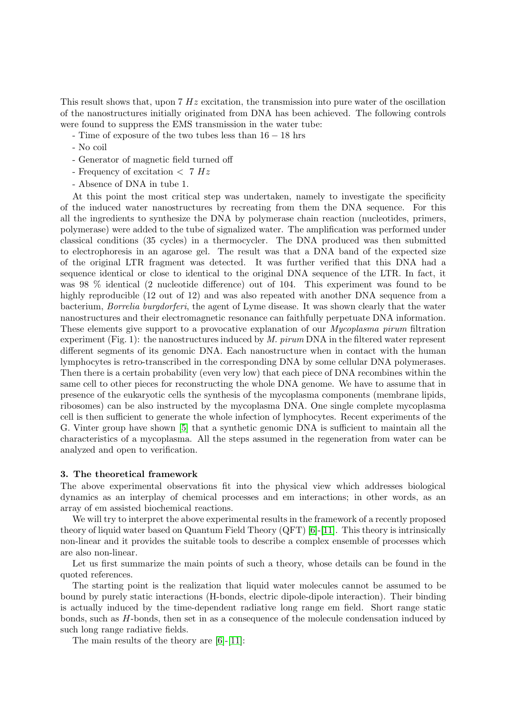This result shows that, upon  $7 \, Hz$  excitation, the transmission into pure water of the oscillation of the nanostructures initially originated from DNA has been achieved. The following controls were found to suppress the EMS transmission in the water tube:

- Time of exposure of the two tubes less than 16 − 18 hrs
- No coil
- Generator of magnetic field turned off
- Frequency of excitation  $\langle 7 \text{ Hz} \rangle$
- Absence of DNA in tube 1.

At this point the most critical step was undertaken, namely to investigate the specificity of the induced water nanostructures by recreating from them the DNA sequence. For this all the ingredients to synthesize the DNA by polymerase chain reaction (nucleotides, primers, polymerase) were added to the tube of signalized water. The amplification was performed under classical conditions (35 cycles) in a thermocycler. The DNA produced was then submitted to electrophoresis in an agarose gel. The result was that a DNA band of the expected size of the original LTR fragment was detected. It was further verified that this DNA had a sequence identical or close to identical to the original DNA sequence of the LTR. In fact, it was 98 % identical (2 nucleotide difference) out of 104. This experiment was found to be highly reproducible (12 out of 12) and was also repeated with another DNA sequence from a bacterium, Borrelia burgdorferi, the agent of Lyme disease. It was shown clearly that the water nanostructures and their electromagnetic resonance can faithfully perpetuate DNA information. These elements give support to a provocative explanation of our *Mycoplasma pirum* filtration experiment (Fig. 1): the nanostructures induced by  $M$ . pirum DNA in the filtered water represent different segments of its genomic DNA. Each nanostructure when in contact with the human lymphocytes is retro-transcribed in the corresponding DNA by some cellular DNA polymerases. Then there is a certain probability (even very low) that each piece of DNA recombines within the same cell to other pieces for reconstructing the whole DNA genome. We have to assume that in presence of the eukaryotic cells the synthesis of the mycoplasma components (membrane lipids, ribosomes) can be also instructed by the mycoplasma DNA. One single complete mycoplasma cell is then sufficient to generate the whole infection of lymphocytes. Recent experiments of the G. Vinter group have shown [\[5\]](#page-9-4) that a synthetic genomic DNA is sufficient to maintain all the characteristics of a mycoplasma. All the steps assumed in the regeneration from water can be analyzed and open to verification.

#### 3. The theoretical framework

The above experimental observations fit into the physical view which addresses biological dynamics as an interplay of chemical processes and em interactions; in other words, as an array of em assisted biochemical reactions.

We will try to interpret the above experimental results in the framework of a recently proposed theory of liquid water based on Quantum Field Theory (QFT) [\[6\]](#page-9-5)-[\[11\]](#page-9-6). This theory is intrinsically non-linear and it provides the suitable tools to describe a complex ensemble of processes which are also non-linear.

Let us first summarize the main points of such a theory, whose details can be found in the quoted references.

The starting point is the realization that liquid water molecules cannot be assumed to be bound by purely static interactions (H-bonds, electric dipole-dipole interaction). Their binding is actually induced by the time-dependent radiative long range em field. Short range static bonds, such as H-bonds, then set in as a consequence of the molecule condensation induced by such long range radiative fields.

The main results of the theory are [\[6\]](#page-9-5)-[\[11\]](#page-9-6):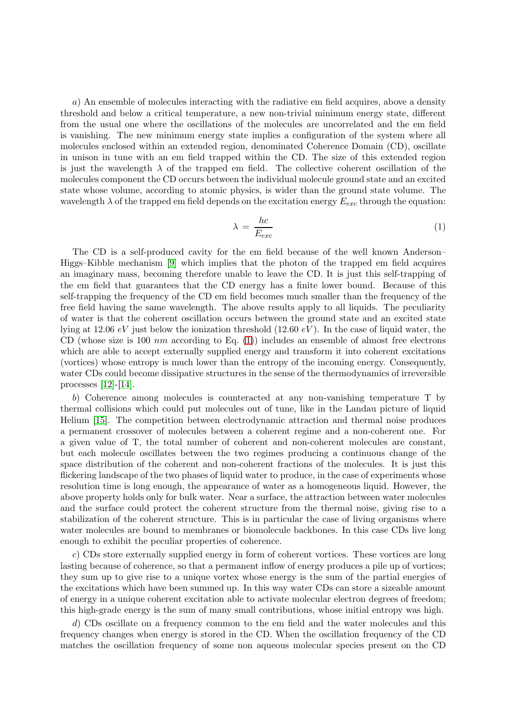a) An ensemble of molecules interacting with the radiative em field acquires, above a density threshold and below a critical temperature, a new non-trivial minimum energy state, different from the usual one where the oscillations of the molecules are uncorrelated and the em field is vanishing. The new minimum energy state implies a configuration of the system where all molecules enclosed within an extended region, denominated Coherence Domain (CD), oscillate in unison in tune with an em field trapped within the CD. The size of this extended region is just the wavelength  $\lambda$  of the trapped em field. The collective coherent oscillation of the molecules component the CD occurs between the individual molecule ground state and an excited state whose volume, according to atomic physics, is wider than the ground state volume. The wavelength  $\lambda$  of the trapped em field depends on the excitation energy  $E_{exc}$  through the equation:

<span id="page-5-0"></span>
$$
\lambda = \frac{hc}{E_{exc}}\tag{1}
$$

The CD is a self-produced cavity for the em field because of the well known Anderson– Higgs–Kibble mechanism [\[9\]](#page-9-7) which implies that the photon of the trapped em field acquires an imaginary mass, becoming therefore unable to leave the CD. It is just this self-trapping of the em field that guarantees that the CD energy has a finite lower bound. Because of this self-trapping the frequency of the CD em field becomes much smaller than the frequency of the free field having the same wavelength. The above results apply to all liquids. The peculiarity of water is that the coherent oscillation occurs between the ground state and an excited state lying at 12.06  $eV$  just below the ionization threshold (12.60  $eV$ ). In the case of liquid water, the CD (whose size is 100  $nm$  according to Eq. [\(1\)](#page-5-0)) includes an ensemble of almost free electrons which are able to accept externally supplied energy and transform it into coherent excitations (vortices) whose entropy is much lower than the entropy of the incoming energy. Consequently, water CDs could become dissipative structures in the sense of the thermodynamics of irreversible processes [\[12\]](#page-9-8)-[\[14\]](#page-9-9).

b) Coherence among molecules is counteracted at any non-vanishing temperature T by thermal collisions which could put molecules out of tune, like in the Landau picture of liquid Helium [\[15\]](#page-9-10). The competition between electrodynamic attraction and thermal noise produces a permanent crossover of molecules between a coherent regime and a non-coherent one. For a given value of T, the total number of coherent and non-coherent molecules are constant, but each molecule oscillates between the two regimes producing a continuous change of the space distribution of the coherent and non-coherent fractions of the molecules. It is just this flickering landscape of the two phases of liquid water to produce, in the case of experiments whose resolution time is long enough, the appearance of water as a homogeneous liquid. However, the above property holds only for bulk water. Near a surface, the attraction between water molecules and the surface could protect the coherent structure from the thermal noise, giving rise to a stabilization of the coherent structure. This is in particular the case of living organisms where water molecules are bound to membranes or biomolecule backbones. In this case CDs live long enough to exhibit the peculiar properties of coherence.

c) CDs store externally supplied energy in form of coherent vortices. These vortices are long lasting because of coherence, so that a permanent inflow of energy produces a pile up of vortices; they sum up to give rise to a unique vortex whose energy is the sum of the partial energies of the excitations which have been summed up. In this way water CDs can store a sizeable amount of energy in a unique coherent excitation able to activate molecular electron degrees of freedom; this high-grade energy is the sum of many small contributions, whose initial entropy was high.

d) CDs oscillate on a frequency common to the em field and the water molecules and this frequency changes when energy is stored in the CD. When the oscillation frequency of the CD matches the oscillation frequency of some non aqueous molecular species present on the CD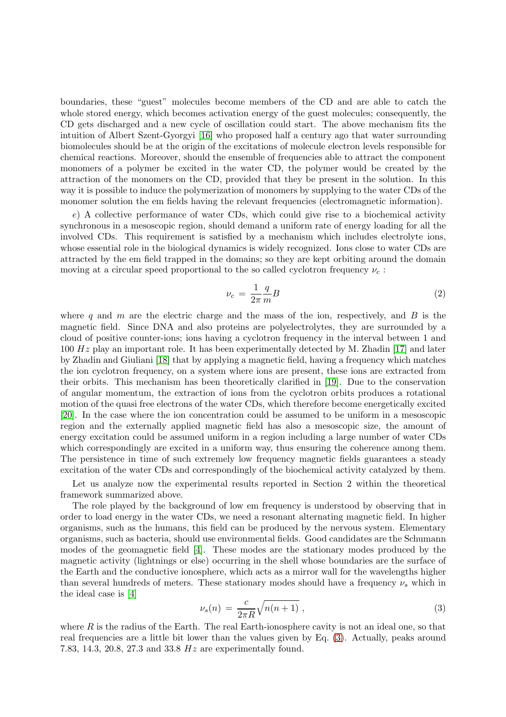boundaries, these "guest" molecules become members of the CD and are able to catch the whole stored energy, which becomes activation energy of the guest molecules; consequently, the CD gets discharged and a new cycle of oscillation could start. The above mechanism fits the intuition of Albert Szent-Gyorgyi [\[16\]](#page-9-11) who proposed half a century ago that water surrounding biomolecules should be at the origin of the excitations of molecule electron levels responsible for chemical reactions. Moreover, should the ensemble of frequencies able to attract the component monomers of a polymer be excited in the water CD, the polymer would be created by the attraction of the monomers on the CD, provided that they be present in the solution. In this way it is possible to induce the polymerization of monomers by supplying to the water CDs of the monomer solution the em fields having the relevant frequencies (electromagnetic information).

e) A collective performance of water CDs, which could give rise to a biochemical activity synchronous in a mesoscopic region, should demand a uniform rate of energy loading for all the involved CDs. This requirement is satisfied by a mechanism which includes electrolyte ions, whose essential role in the biological dynamics is widely recognized. Ions close to water CDs are attracted by the em field trapped in the domains; so they are kept orbiting around the domain moving at a circular speed proportional to the so called cyclotron frequency  $\nu_c$ :

<span id="page-6-1"></span>
$$
\nu_c = \frac{1}{2\pi} \frac{q}{m} B \tag{2}
$$

where q and m are the electric charge and the mass of the ion, respectively, and  $B$  is the magnetic field. Since DNA and also proteins are polyelectrolytes, they are surrounded by a cloud of positive counter-ions; ions having a cyclotron frequency in the interval between 1 and 100  $Hz$  play an important role. It has been experimentally detected by M. Zhadin [\[17\]](#page-9-12) and later by Zhadin and Giuliani [\[18\]](#page-9-13) that by applying a magnetic field, having a frequency which matches the ion cyclotron frequency, on a system where ions are present, these ions are extracted from their orbits. This mechanism has been theoretically clarified in [\[19\]](#page-9-14). Due to the conservation of angular momentum, the extraction of ions from the cyclotron orbits produces a rotational motion of the quasi free electrons of the water CDs, which therefore become energetically excited [\[20\]](#page-9-15). In the case where the ion concentration could be assumed to be uniform in a mesoscopic region and the externally applied magnetic field has also a mesoscopic size, the amount of energy excitation could be assumed uniform in a region including a large number of water CDs which correspondingly are excited in a uniform way, thus ensuring the coherence among them. The persistence in time of such extremely low frequency magnetic fields guarantees a steady excitation of the water CDs and correspondingly of the biochemical activity catalyzed by them.

Let us analyze now the experimental results reported in Section 2 within the theoretical framework summarized above.

The role played by the background of low em frequency is understood by observing that in order to load energy in the water CDs, we need a resonant alternating magnetic field. In higher organisms, such as the humans, this field can be produced by the nervous system. Elementary organisms, such as bacteria, should use environmental fields. Good candidates are the Schumann modes of the geomagnetic field [\[4\]](#page-9-3). These modes are the stationary modes produced by the magnetic activity (lightnings or else) occurring in the shell whose boundaries are the surface of the Earth and the conductive ionosphere, which acts as a mirror wall for the wavelengths higher than several hundreds of meters. These stationary modes should have a frequency  $\nu_s$  which in the ideal case is [\[4\]](#page-9-3)

<span id="page-6-0"></span>
$$
\nu_s(n) = \frac{c}{2\pi R} \sqrt{n(n+1)} \,, \tag{3}
$$

where  $R$  is the radius of the Earth. The real Earth-ionosphere cavity is not an ideal one, so that real frequencies are a little bit lower than the values given by Eq. [\(3\)](#page-6-0). Actually, peaks around 7.83, 14.3, 20.8, 27.3 and 33.8 Hz are experimentally found.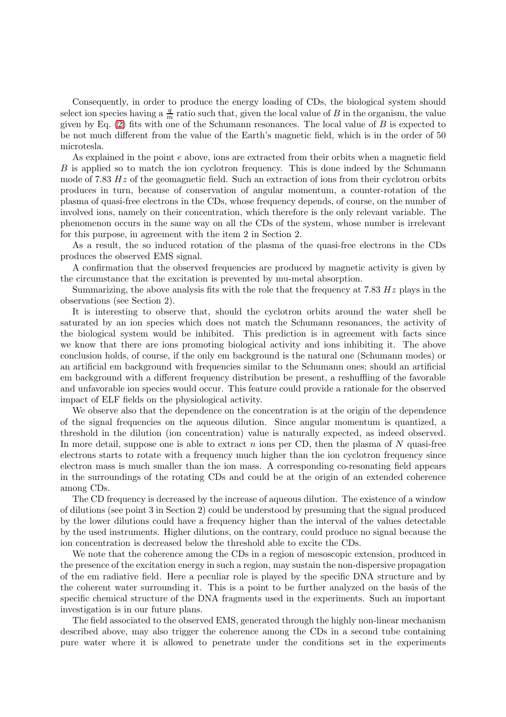Consequently, in order to produce the energy loading of CDs, the biological system should select ion species having a  $\frac{q}{m}$  ratio such that, given the local value of B in the organism, the value given by Eq.  $(2)$  fits with one of the Schumann resonances. The local value of B is expected to be not much different from the value of the Earth's magnetic field, which is in the order of 50 microtesla.

As explained in the point e above, ions are extracted from their orbits when a magnetic field B is applied so to match the ion cyclotron frequency. This is done indeed by the Schumann mode of 7.83  $Hz$  of the geomagnetic field. Such an extraction of ions from their cyclotron orbits produces in turn, because of conservation of angular momentum, a counter-rotation of the plasma of quasi-free electrons in the CDs, whose frequency depends, of course, on the number of involved ions, namely on their concentration, which therefore is the only relevant variable. The phenomenon occurs in the same way on all the CDs of the system, whose number is irrelevant for this purpose, in agreement with the item 2 in Section 2.

As a result, the so induced rotation of the plasma of the quasi-free electrons in the CDs produces the observed EMS signal.

A confirmation that the observed frequencies are produced by magnetic activity is given by the circumstance that the excitation is prevented by mu-metal absorption.

Summarizing, the above analysis fits with the role that the frequency at 7.83  $Hz$  plays in the observations (see Section 2).

It is interesting to observe that, should the cyclotron orbits around the water shell be saturated by an ion species which does not match the Schumann resonances, the activity of the biological system would be inhibited. This prediction is in agreement with facts since we know that there are ions promoting biological activity and ions inhibiting it. The above conclusion holds, of course, if the only em background is the natural one (Schumann modes) or an artificial em background with frequencies similar to the Schumann ones; should an artificial em background with a different frequency distribution be present, a reshuffling of the favorable and unfavorable ion species would occur. This feature could provide a rationale for the observed impact of ELF fields on the physiological activity.

We observe also that the dependence on the concentration is at the origin of the dependence of the signal frequencies on the aqueous dilution. Since angular momentum is quantized, a threshold in the dilution (ion concentration) value is naturally expected, as indeed observed. In more detail, suppose one is able to extract n ions per CD, then the plasma of  $N$  quasi-free electrons starts to rotate with a frequency much higher than the ion cyclotron frequency since electron mass is much smaller than the ion mass. A corresponding co-resonating field appears in the surroundings of the rotating CDs and could be at the origin of an extended coherence among CDs.

The CD frequency is decreased by the increase of aqueous dilution. The existence of a window of dilutions (see point 3 in Section 2) could be understood by presuming that the signal produced by the lower dilutions could have a frequency higher than the interval of the values detectable by the used instruments. Higher dilutions, on the contrary, could produce no signal because the ion concentration is decreased below the threshold able to excite the CDs.

We note that the coherence among the CDs in a region of mesoscopic extension, produced in the presence of the excitation energy in such a region, may sustain the non-dispersive propagation of the em radiative field. Here a peculiar role is played by the specific DNA structure and by the coherent water surrounding it. This is a point to be further analyzed on the basis of the specific chemical structure of the DNA fragments used in the experiments. Such an important investigation is in our future plans.

The field associated to the observed EMS, generated through the highly non-linear mechanism described above, may also trigger the coherence among the CDs in a second tube containing pure water where it is allowed to penetrate under the conditions set in the experiments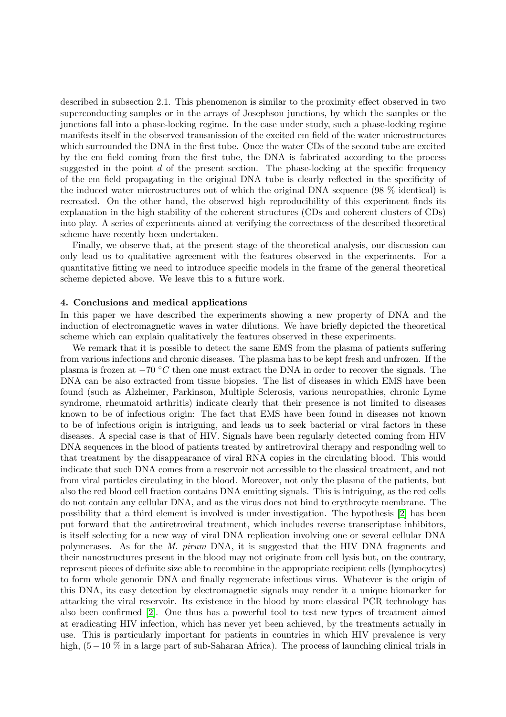described in subsection 2.1. This phenomenon is similar to the proximity effect observed in two superconducting samples or in the arrays of Josephson junctions, by which the samples or the junctions fall into a phase-locking regime. In the case under study, such a phase-locking regime manifests itself in the observed transmission of the excited em field of the water microstructures which surrounded the DNA in the first tube. Once the water CDs of the second tube are excited by the em field coming from the first tube, the DNA is fabricated according to the process suggested in the point  $d$  of the present section. The phase-locking at the specific frequency of the em field propagating in the original DNA tube is clearly reflected in the specificity of the induced water microstructures out of which the original DNA sequence (98 % identical) is recreated. On the other hand, the observed high reproducibility of this experiment finds its explanation in the high stability of the coherent structures (CDs and coherent clusters of CDs) into play. A series of experiments aimed at verifying the correctness of the described theoretical scheme have recently been undertaken.

Finally, we observe that, at the present stage of the theoretical analysis, our discussion can only lead us to qualitative agreement with the features observed in the experiments. For a quantitative fitting we need to introduce specific models in the frame of the general theoretical scheme depicted above. We leave this to a future work.

#### 4. Conclusions and medical applications

In this paper we have described the experiments showing a new property of DNA and the induction of electromagnetic waves in water dilutions. We have briefly depicted the theoretical scheme which can explain qualitatively the features observed in these experiments.

We remark that it is possible to detect the same EMS from the plasma of patients suffering from various infections and chronic diseases. The plasma has to be kept fresh and unfrozen. If the plasma is frozen at  $-70$  °C then one must extract the DNA in order to recover the signals. The DNA can be also extracted from tissue biopsies. The list of diseases in which EMS have been found (such as Alzheimer, Parkinson, Multiple Sclerosis, various neuropathies, chronic Lyme syndrome, rheumatoid arthritis) indicate clearly that their presence is not limited to diseases known to be of infectious origin: The fact that EMS have been found in diseases not known to be of infectious origin is intriguing, and leads us to seek bacterial or viral factors in these diseases. A special case is that of HIV. Signals have been regularly detected coming from HIV DNA sequences in the blood of patients treated by antiretroviral therapy and responding well to that treatment by the disappearance of viral RNA copies in the circulating blood. This would indicate that such DNA comes from a reservoir not accessible to the classical treatment, and not from viral particles circulating in the blood. Moreover, not only the plasma of the patients, but also the red blood cell fraction contains DNA emitting signals. This is intriguing, as the red cells do not contain any cellular DNA, and as the virus does not bind to erythrocyte membrane. The possibility that a third element is involved is under investigation. The hypothesis [\[2\]](#page-9-1) has been put forward that the antiretroviral treatment, which includes reverse transcriptase inhibitors, is itself selecting for a new way of viral DNA replication involving one or several cellular DNA polymerases. As for the M. pirum DNA, it is suggested that the HIV DNA fragments and their nanostructures present in the blood may not originate from cell lysis but, on the contrary, represent pieces of definite size able to recombine in the appropriate recipient cells (lymphocytes) to form whole genomic DNA and finally regenerate infectious virus. Whatever is the origin of this DNA, its easy detection by electromagnetic signals may render it a unique biomarker for attacking the viral reservoir. Its existence in the blood by more classical PCR technology has also been confirmed [\[2\]](#page-9-1). One thus has a powerful tool to test new types of treatment aimed at eradicating HIV infection, which has never yet been achieved, by the treatments actually in use. This is particularly important for patients in countries in which HIV prevalence is very high, (5−10 % in a large part of sub-Saharan Africa). The process of launching clinical trials in